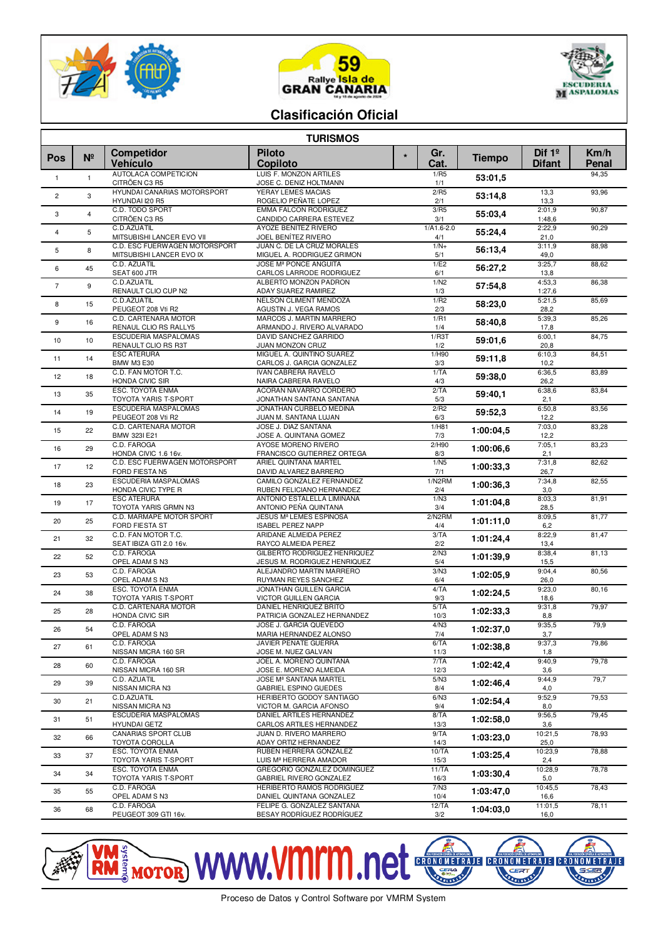





## **Clasificación Oficial**

| <b>TURISMOS</b> |                |                                                       |                                                                       |                        |               |                           |               |  |  |  |  |
|-----------------|----------------|-------------------------------------------------------|-----------------------------------------------------------------------|------------------------|---------------|---------------------------|---------------|--|--|--|--|
| Pos             | $N^{\circ}$    | Competidor<br><b>Vehículo</b>                         | <b>Piloto</b><br><b>Copiloto</b>                                      | Gr.<br>$\star$<br>Cat. | <b>Tiempo</b> | Dif $1°$<br><b>Difant</b> | Km/h<br>Penal |  |  |  |  |
| $\mathbf{1}$    | $\mathbf{1}$   | AUTOLACA COMPETICION<br>CITRÖEN C3 R5                 | <b>LUIS F. MONZON ARTILES</b><br>JOSE C. DENIZ HOLTMANN               | 1/RS<br>1/1            | 53:01.5       |                           | 94,35         |  |  |  |  |
| $\overline{c}$  | 3              | <b>HYUNDAI CANARIAS MOTORSPORT</b><br>HYUNDAI I20 R5  | YERAY LEMES MACIAS<br>ROGELIO PEÑATE LOPEZ                            | 2/R5<br>2/1            | 53:14,8       | 13,3<br>13,3              | 93,96         |  |  |  |  |
| 3               | $\overline{4}$ | C.D. TODO SPORT<br>CITRÖEN C3 R5                      | <b>EMMA FALCON RODRIGUEZ</b><br>CANDIDO CARRERA ESTEVEZ               | 3/R5<br>3/1            | 55:03.4       | 2:01.9<br>1:48,6          | 90,87         |  |  |  |  |
| $\overline{4}$  | 5              | C.D.AZUATIL<br>MITSUBISHI LANCER EVO VII              | AYOZE BENÍTEZ RIVERO<br>JOEL BENÍTEZ RIVERO                           | $1/A1.6 - 2.0$<br>4/1  | 55:24,4       | 2:22.9<br>21,0            | 90,29         |  |  |  |  |
| 5               | 8              | C.D. ESC FUERWAGEN MOTORSPORT                         | JUAN C. DE LA CRUZ MORALES                                            | $1/N+$                 | 56:13,4       | 3:11,9                    | 88,98         |  |  |  |  |
| 6               | 45             | MITSUBISHI LANCER EVO IX<br>C.D. AZUATIL              | MIGUEL A. RODRIGUEZ GRIMON<br><b>JOSE M<sup>ª</sup> PONCE ANGUITA</b> | 5/1<br>1/E2            | 56:27,2       | 49,0<br>3:25,7            | 88,62         |  |  |  |  |
| $7\overline{ }$ | 9              | SEAT 600 JTR<br>C.D.AZUATIL                           | CARLOS LARRODE RODRIGUEZ<br>ALBERTO MONZON PADRON                     | 6/1<br>1/N2            |               | 13,8<br>4:53,3            | 86,38         |  |  |  |  |
|                 |                | RENAULT CLIO CUP N2<br>C.D.AZUATIL                    | ADAY SUAREZ RAMIREZ<br>NELSON CLIMENT MENDOZA                         | 1/3<br>1/R2            | 57:54,8       | 1:27,6<br>5:21,5          | 85,69         |  |  |  |  |
| 8               | 15             | PEUGEOT 208 Vti R2<br>C.D. CARTENARA MOTOR            | AGUSTIN J. VEGA RAMOS<br>MARCOS J. MARTIN MARRERO                     | 2/3<br>1/R1            | 58:23.0       | 28,2                      |               |  |  |  |  |
| 9               | 16             | RENAUL CLIO RS RALLY5                                 | ARMANDO J. RIVERO ALVARADO                                            | 1/4                    | 58:40.8       | 5:39,3<br>17,8            | 85,26         |  |  |  |  |
| 10              | 10             | ESCUDERIA MASPALOMAS<br>RENAULT CLIO RS R3T           | DAVID SANCHEZ GARRIDO<br>JUAN MONZON CRUZ                             | 1/R3T<br>1/2           | 59:01,6       | 6:00,1<br>20,8            | 84,75         |  |  |  |  |
| 11              | 14             | <b>ESC ATERURA</b><br><b>BMW M3 E30</b>               | MIGUEL A. QUINTINO SUAREZ<br>CARLOS J. GARCIA GONZALEZ                | 1/H90<br>3/3           | 59:11,8       | 6:10,3<br>10,2            | 84,51         |  |  |  |  |
| 12              | 18             | C.D. FAN MOTOR T.C.<br>HONDA CIVIC SIR                | <b>IVAN CABRERA RAVELO</b><br>NAIRA CABRERA RAVELO                    | 1/TA<br>4/3            | 59:38,0       | 6:36,5<br>26,2            | 83,89         |  |  |  |  |
| 13              | 35             | ESC. TOYOTA ENMA                                      | ACORAN NAVARRO CORDERO                                                | 2/TA                   | 59:40.1       | 6:38,6                    | 83,84         |  |  |  |  |
| 14              | 19             | TOYOTA YARIS T-SPORT<br><b>ESCUDERIA MASPALOMAS</b>   | JONATHAN SANTANA SANTANA<br>JONATHAN CURBELO MEDINA                   | 5/3<br>2/R2            | 59:52.3       | 2,1<br>6:50,8             | 83,56         |  |  |  |  |
| 15              | 22             | PEUGEOT 208 Vti R2<br>C.D. CARTENARA MOTOR            | JUAN M. SANTANA LUJAN<br>JOSE J. DIAZ SANTANA                         | 6/3<br>1/H81           | 1:00:04.5     | 12,2<br>7:03,0            | 83,28         |  |  |  |  |
|                 |                | BMW 323I E21<br>C.D. FAROGA                           | JOSE A. QUINTANA GOMEZ<br>AYOSE MORENO RIVERO                         | 7/3<br>2/H90           |               | 12,2<br>7:05,1            | 83,23         |  |  |  |  |
| 16              | 29             | HONDA CIVIC 1.6 16v.<br>C.D. ESC FUERWAGEN MOTORSPORT | FRANCISCO GUTIERREZ ORTEGA<br>ARIEL QUINTANA MARTEL                   | 8/3<br>1/N5            | 1:00:06.6     | 2,1                       |               |  |  |  |  |
| 17              | 12             | FORD FIESTA N5                                        | DAVID ALVAREZ BARRERO                                                 | 7/1                    | 1:00:33,3     | 7:31,8<br>26,7            | 82,62         |  |  |  |  |
| 18              | 23             | ESCUDERIA MASPALOMAS<br>HONDA CIVIC TYPE R            | CAMILO GONZALEZ FERNANDEZ<br>RUBEN FELICIANO HERNANDEZ                | 1/N2RM<br>2/4          | 1:00:36.3     | 7:34.8<br>3,0             | 82,55         |  |  |  |  |
| 19              | 17             | <b>ESC ATERURA</b><br>TOYOTA YARIS GRMN N3            | ANTONIO ESTALELLA LIMIÑANA<br>ANTONIO PEÑA QUINTANA                   | 1/N3<br>3/4            | 1:01:04.8     | 8:03.3<br>28,5            | 81,91         |  |  |  |  |
| 20              | 25             | C.D. MARMAPE MOTOR SPORT<br><b>FORD FIESTA ST</b>     | <b>JESUS M<sup>ª</sup> LEMES ESPINOSA</b><br><b>ISABEL PEREZ NAPP</b> | 2/N2RM<br>4/4          | 1:01:11,0     | 8:09.5<br>6,2             | 81,77         |  |  |  |  |
| 21              | 32             | C.D. FAN MOTOR T.C.                                   | ARIDANE ALMEIDA PEREZ                                                 | 3/TA                   | 1:01:24,4     | 8:22,9                    | 81,47         |  |  |  |  |
| 22              | 52             | SEAT IBIZA GTI 2.0 16v.<br>C.D. FAROGA                | RAYCO ALMEIDA PEREZ<br>GILBERTO RODRIGUEZ HENRIQUEZ                   | 2/2<br>2/N3            | 1:01:39,9     | 13,4<br>8:38,4            | 81,13         |  |  |  |  |
| 23              | 53             | OPEL ADAM S N3<br>C.D. FAROGA                         | JESUS M. RODRIGUEZ HENRIQUEZ<br>ALEJANDRO MARTIN MARRERO              | 5/4<br>3/N3            | 1:02:05.9     | 15,5<br>9:04,4            | 80,56         |  |  |  |  |
|                 |                | OPEL ADAM S N3<br>ESC. TOYOTA ENMA                    | RUYMAN REYES SANCHEZ<br>JONATHAN GUILLEN GARCIA                       | 6/4<br>4/TA            |               | 26,0<br>9:23.0            | 80,16         |  |  |  |  |
| 24              | 38             | TOYOTA YARIS T-SPORT<br>C.D. CARTENARA MOTOR          | VICTOR GUILLEN GARCIA<br><b>DANIEL HENRIQUEZ BRITO</b>                | 9/3<br>5/TA            | 1:02:24.5     | 18,6<br>9:31,8            | 79,97         |  |  |  |  |
| 25              | 28             | HONDA CIVIC SIR                                       | PATRICIA GONZALEZ HERNANDEZ                                           | 10/3                   | 1:02:33,3     | 8,8                       |               |  |  |  |  |
| 26              | 54             | C.D. FAROGA<br>OPEL ADAM S N3                         | JOSE J. GARCIA QUEVEDO<br>MARIA HERNANDEZ ALONSO                      | 4/N3<br>7/4            | 1:02:37,0     | 9:35,5<br>3,7             | 79,9          |  |  |  |  |
| 27              | 61             | C.D. FAROGA<br>NISSAN MICRA 160 SR                    | JAVIER PEÑATE GUERRA<br>JOSE M. NUEZ GALVAN                           | 6/TA<br>11/3           | 1:02:38,8     | 9:37,3<br>1,8             | 79,86         |  |  |  |  |
| 28              | 60             | C.D. FAROGA<br>NISSAN MICRA 160 SR                    | JOEL A. MORENO QUINTANA<br>JOSE E. MORENO ALMEIDA                     | 7/TA<br>12/3           | 1:02:42.4     | 9:40,9<br>3,6             | 79,78         |  |  |  |  |
| 29              | 39             | C.D. AZUATIL<br>NISSAN MICRA N3                       | JOSE M <sup>ª</sup> SANTANA MARTEL<br>GABRIEL ESPINO GUEDES           | 5/N3<br>8/4            | 1:02:46,4     | 9:44,9<br>4,0             | 79,7          |  |  |  |  |
| 30              | 21             | C.D.AZUATIL                                           | HERIBERTO GODOY SANTIAGO                                              | 6/N3                   | 1:02:54,4     | 9:52,9                    | 79,53         |  |  |  |  |
| 31              | 51             | NISSAN MICRA N3<br>ESCUDERIA MASPALOMAS               | VICTOR M. GARCIA AFONSO<br>DANIEL ARTILES HERNANDEZ                   | 9/4<br>8/TA            | 1:02:58.0     | 8,0<br>9:56,5             | 79,45         |  |  |  |  |
|                 |                | <b>HYUNDAI GETZ</b><br>CANARIAS SPORT CLUB            | CARLOS ARTILES HERNANDEZ<br>JUAN D. RIVERO MARRERO                    | 13/3<br>9/TA           |               | 3,6<br>10:21,5            | 78,93         |  |  |  |  |
| 32              | 66             | TOYOTA COROLLA<br>ESC. TOYOTA ENMA                    | ADAY ORTIZ HERNANDEZ<br>RUBEN HERRERA GONZALEZ                        | 14/3<br>10/TA          | 1:03:23,0     | 25,0<br>10:23,9           | 78,88         |  |  |  |  |
| 33              | 37             | TOYOTA YARIS T-SPORT                                  | LUIS M <sup>ª</sup> HERRERA AMADOR                                    | 15/3                   | 1:03:25,4     | 2,4                       |               |  |  |  |  |
| 34              | 34             | ESC. TOYOTA ENMA<br>TOYOTA YARIS T-SPORT              | GREGORIO GONZALEZ DOMINGUEZ<br>GABRIEL RIVERO GONZALEZ                | 11/TA<br>16/3          | 1:03:30,4     | 10:28,9<br>5,0            | 78,78         |  |  |  |  |
| 35              | 55             | C.D. FAROGA<br>OPEL ADAM S N3                         | HERIBERTO RAMOS RODRIGUEZ<br>DANIEL QUINTANA GONZALEZ                 | 7/N3<br>10/4           | 1:03:47,0     | 10:45,5<br>16,6           | 78,43         |  |  |  |  |
| 36              | 68             | C.D. FAROGA<br>PEUGEOT 309 GTI 16v.                   | FELIPE G. GONZALEZ SANTANA<br>BESAY RODRÍGUEZ RODRÍGUEZ               | 12/TA<br>3/2           | 1:04:03,0     | 11:01,5<br>16,0           | 78,11         |  |  |  |  |